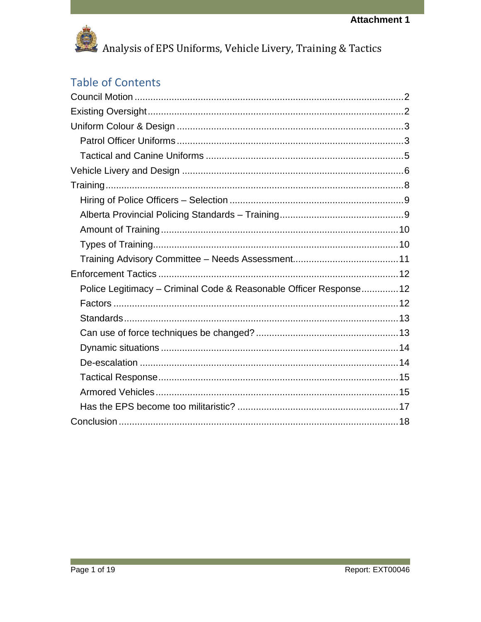

### **Table of Contents**

| Police Legitimacy - Criminal Code & Reasonable Officer Response 12 |  |
|--------------------------------------------------------------------|--|
|                                                                    |  |
|                                                                    |  |
|                                                                    |  |
|                                                                    |  |
|                                                                    |  |
|                                                                    |  |
|                                                                    |  |
|                                                                    |  |
|                                                                    |  |
|                                                                    |  |

**College**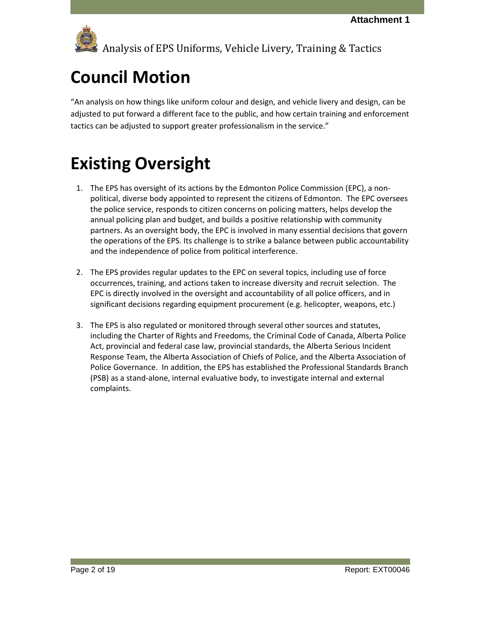# <span id="page-1-0"></span>**Council Motion**

"An analysis on how things like uniform colour and design, and vehicle livery and design, can be adjusted to put forward a different face to the public, and how certain training and enforcement tactics can be adjusted to support greater professionalism in the service."

## <span id="page-1-1"></span>**Existing Oversight**

- 1. The EPS has oversight of its actions by the Edmonton Police Commission (EPC), a nonpolitical, diverse body appointed to represent the citizens of Edmonton. The EPC oversees the police service, responds to citizen concerns on policing matters, helps develop the annual policing plan and budget, and builds a positive relationship with community partners. As an oversight body, the EPC is involved in many essential decisions that govern the operations of the EPS. Its challenge is to strike a balance between public accountability and the independence of police from political interference.
- 2. The EPS provides regular updates to the EPC on several topics, including use of force occurrences, training, and actions taken to increase diversity and recruit selection. The EPC is directly involved in the oversight and accountability of all police officers, and in significant decisions regarding equipment procurement (e.g. helicopter, weapons, etc.)
- 3. The EPS is also regulated or monitored through several other sources and statutes, including the Charter of Rights and Freedoms, the Criminal Code of Canada, Alberta Police Act, provincial and federal case law, provincial standards, the Alberta Serious Incident Response Team, the Alberta Association of Chiefs of Police, and the Alberta Association of Police Governance. In addition, the EPS has established the Professional Standards Branch (PSB) as a stand-alone, internal evaluative body, to investigate internal and external complaints.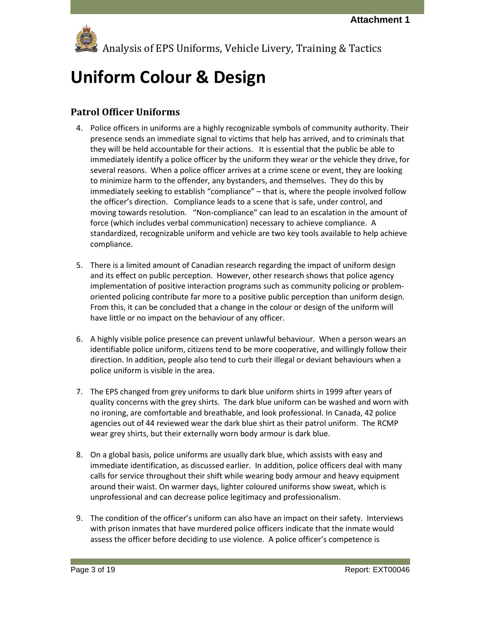

# <span id="page-2-0"></span>**Uniform Colour & Design**

### <span id="page-2-1"></span>**Patrol Officer Uniforms**

- 4. Police officers in uniforms are a highly recognizable symbols of community authority. Their presence sends an immediate signal to victims that help has arrived, and to criminals that they will be held accountable for their actions. It is essential that the public be able to immediately identify a police officer by the uniform they wear or the vehicle they drive, for several reasons. When a police officer arrives at a crime scene or event, they are looking to minimize harm to the offender, any bystanders, and themselves. They do this by immediately seeking to establish "compliance" – that is, where the people involved follow the officer's direction. Compliance leads to a scene that is safe, under control, and moving towards resolution. "Non-compliance" can lead to an escalation in the amount of force (which includes verbal communication) necessary to achieve compliance. A standardized, recognizable uniform and vehicle are two key tools available to help achieve compliance.
- 5. There is a limited amount of Canadian research regarding the impact of uniform design and its effect on public perception. However, other research shows that police agency implementation of positive interaction programs such as community policing or problemoriented policing contribute far more to a positive public perception than uniform design. From this, it can be concluded that a change in the colour or design of the uniform will have little or no impact on the behaviour of any officer.
- 6. A highly visible police presence can prevent unlawful behaviour. When a person wears an identifiable police uniform, citizens tend to be more cooperative, and willingly follow their direction. In addition, people also tend to curb their illegal or deviant behaviours when a police uniform is visible in the area.
- 7. The EPS changed from grey uniforms to dark blue uniform shirts in 1999 after years of quality concerns with the grey shirts. The dark blue uniform can be washed and worn with no ironing, are comfortable and breathable, and look professional. In Canada, 42 police agencies out of 44 reviewed wear the dark blue shirt as their patrol uniform. The RCMP wear grey shirts, but their externally worn body armour is dark blue.
- 8. On a global basis, police uniforms are usually dark blue, which assists with easy and immediate identification, as discussed earlier. In addition, police officers deal with many calls for service throughout their shift while wearing body armour and heavy equipment around their waist. On warmer days, lighter coloured uniforms show sweat, which is unprofessional and can decrease police legitimacy and professionalism.
- 9. The condition of the officer's uniform can also have an impact on their safety. Interviews with prison inmates that have murdered police officers indicate that the inmate would assess the officer before deciding to use violence. A police officer's competence is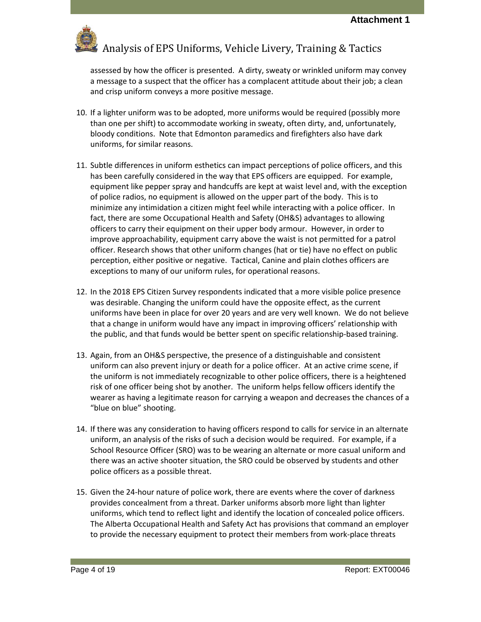

assessed by how the officer is presented. A dirty, sweaty or wrinkled uniform may convey a message to a suspect that the officer has a complacent attitude about their job; a clean and crisp uniform conveys a more positive message.

- 10. If a lighter uniform was to be adopted, more uniforms would be required (possibly more than one per shift) to accommodate working in sweaty, often dirty, and, unfortunately, bloody conditions. Note that Edmonton paramedics and firefighters also have dark uniforms, for similar reasons.
- 11. Subtle differences in uniform esthetics can impact perceptions of police officers, and this has been carefully considered in the way that EPS officers are equipped. For example, equipment like pepper spray and handcuffs are kept at waist level and, with the exception of police radios, no equipment is allowed on the upper part of the body. This is to minimize any intimidation a citizen might feel while interacting with a police officer. In fact, there are some Occupational Health and Safety (OH&S) advantages to allowing officers to carry their equipment on their upper body armour. However, in order to improve approachability, equipment carry above the waist is not permitted for a patrol officer. Research shows that other uniform changes (hat or tie) have no effect on public perception, either positive or negative. Tactical, Canine and plain clothes officers are exceptions to many of our uniform rules, for operational reasons.
- 12. In the 2018 EPS Citizen Survey respondents indicated that a more visible police presence was desirable. Changing the uniform could have the opposite effect, as the current uniforms have been in place for over 20 years and are very well known. We do not believe that a change in uniform would have any impact in improving officers' relationship with the public, and that funds would be better spent on specific relationship-based training.
- 13. Again, from an OH&S perspective, the presence of a distinguishable and consistent uniform can also prevent injury or death for a police officer. At an active crime scene, if the uniform is not immediately recognizable to other police officers, there is a heightened risk of one officer being shot by another. The uniform helps fellow officers identify the wearer as having a legitimate reason for carrying a weapon and decreases the chances of a "blue on blue" shooting.
- 14. If there was any consideration to having officers respond to calls for service in an alternate uniform, an analysis of the risks of such a decision would be required. For example, if a School Resource Officer (SRO) was to be wearing an alternate or more casual uniform and there was an active shooter situation, the SRO could be observed by students and other police officers as a possible threat.
- 15. Given the 24-hour nature of police work, there are events where the cover of darkness provides concealment from a threat. Darker uniforms absorb more light than lighter uniforms, which tend to reflect light and identify the location of concealed police officers. The Alberta Occupational Health and Safety Act has provisions that command an employer to provide the necessary equipment to protect their members from work-place threats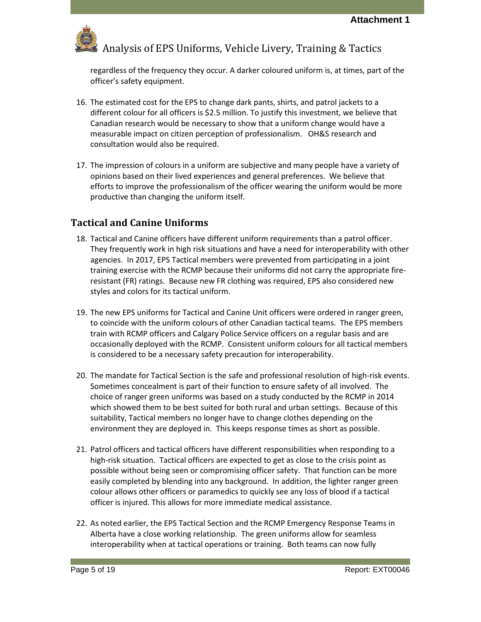

regardless of the frequency they occur. A darker coloured uniform is, at times, part of the officer's safety equipment.

- 16. The estimated cost for the EPS to change dark pants, shirts, and patrol jackets to a different colour for all officers is \$2.5 million. To justify this investment, we believe that Canadian research would be necessary to show that a uniform change would have a measurable impact on citizen perception of professionalism. OH&S research and consultation would also be required.
- 17. The impression of colours in a uniform are subjective and many people have a variety of opinions based on their lived experiences and general preferences. We believe that efforts to improve the professionalism of the officer wearing the uniform would be more productive than changing the uniform itself.

### <span id="page-4-0"></span>**Tactical and Canine Uniforms**

- 18. Tactical and Canine officers have different uniform requirements than a patrol officer. They frequently work in high risk situations and have a need for interoperability with other agencies. In 2017, EPS Tactical members were prevented from participating in a joint training exercise with the RCMP because their uniforms did not carry the appropriate fireresistant (FR) ratings. Because new FR clothing was required, EPS also considered new styles and colors for its tactical uniform.
- 19. The new EPS uniforms for Tactical and Canine Unit officers were ordered in ranger green, to coincide with the uniform colours of other Canadian tactical teams. The EPS members train with RCMP officers and Calgary Police Service officers on a regular basis and are occasionally deployed with the RCMP. Consistent uniform colours for all tactical members is considered to be a necessary safety precaution for interoperability.
- 20. The mandate for Tactical Section is the safe and professional resolution of high-risk events. Sometimes concealment is part of their function to ensure safety of all involved. The choice of ranger green uniforms was based on a study conducted by the RCMP in 2014 which showed them to be best suited for both rural and urban settings. Because of this suitability, Tactical members no longer have to change clothes depending on the environment they are deployed in. This keeps response times as short as possible.
- 21. Patrol officers and tactical officers have different responsibilities when responding to a high-risk situation. Tactical officers are expected to get as close to the crisis point as possible without being seen or compromising officer safety. That function can be more easily completed by blending into any background. In addition, the lighter ranger green colour allows other officers or paramedics to quickly see any loss of blood if a tactical officer is injured. This allows for more immediate medical assistance.
- 22. As noted earlier, the EPS Tactical Section and the RCMP Emergency Response Teams in Alberta have a close working relationship. The green uniforms allow for seamless interoperability when at tactical operations or training. Both teams can now fully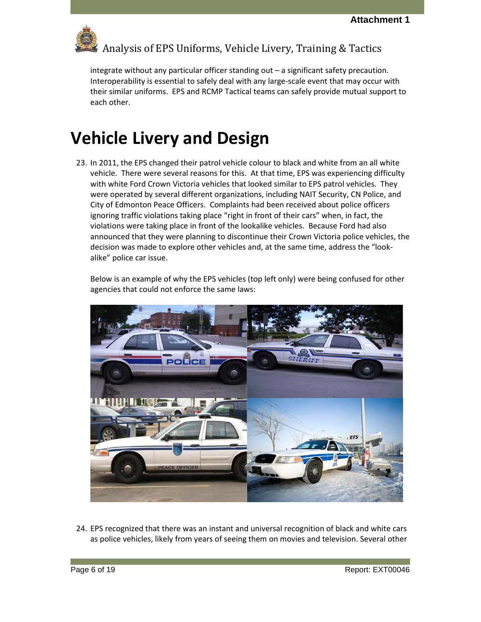

integrate without any particular officer standing out – a significant safety precaution. Interoperability is essential to safely deal with any large-scale event that may occur with

their similar uniforms. EPS and RCMP Tactical teams can safely provide mutual support to each other.

## <span id="page-5-0"></span>**Vehicle Livery and Design**

23. In 2011, the EPS changed their patrol vehicle colour to black and white from an all white vehicle. There were several reasons for this. At that time, EPS was experiencing difficulty with white Ford Crown Victoria vehicles that looked similar to EPS patrol vehicles. They were operated by several different organizations, including NAIT Security, CN Police, and City of Edmonton Peace Officers. Complaints had been received about police officers ignoring traffic violations taking place "right in front of their cars" when, in fact, the violations were taking place in front of the lookalike vehicles. Because Ford had also announced that they were planning to discontinue their Crown Victoria police vehicles, the decision was made to explore other vehicles and, at the same time, address the "lookalike" police car issue.

Below is an example of why the EPS vehicles (top left only) were being confused for other agencies that could not enforce the same laws:



24. EPS recognized that there was an instant and universal recognition of black and white cars as police vehicles, likely from years of seeing them on movies and television. Several other

Page 6 of 19 Report: EXT00046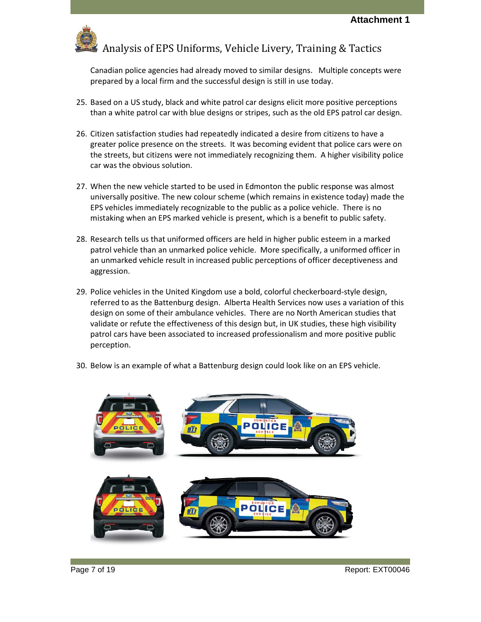

Canadian police agencies had already moved to similar designs. Multiple concepts were prepared by a local firm and the successful design is still in use today.

- 25. Based on a US study, black and white patrol car designs elicit more positive perceptions than a white patrol car with blue designs or stripes, such as the old EPS patrol car design.
- 26. Citizen satisfaction studies had repeatedly indicated a desire from citizens to have a greater police presence on the streets. It was becoming evident that police cars were on the streets, but citizens were not immediately recognizing them. A higher visibility police car was the obvious solution.
- 27. When the new vehicle started to be used in Edmonton the public response was almost universally positive. The new colour scheme (which remains in existence today) made the EPS vehicles immediately recognizable to the public as a police vehicle. There is no mistaking when an EPS marked vehicle is present, which is a benefit to public safety.
- 28. Research tells us that uniformed officers are held in higher public esteem in a marked patrol vehicle than an unmarked police vehicle. More specifically, a uniformed officer in an unmarked vehicle result in increased public perceptions of officer deceptiveness and aggression.
- 29. Police vehicles in the United Kingdom use a bold, colorful checkerboard-style design, referred to as the Battenburg design. Alberta Health Services now uses a variation of this design on some of their ambulance vehicles. There are no North American studies that validate or refute the effectiveness of this design but, in UK studies, these high visibility patrol cars have been associated to increased professionalism and more positive public perception.
- 30. Below is an example of what a Battenburg design could look like on an EPS vehicle.

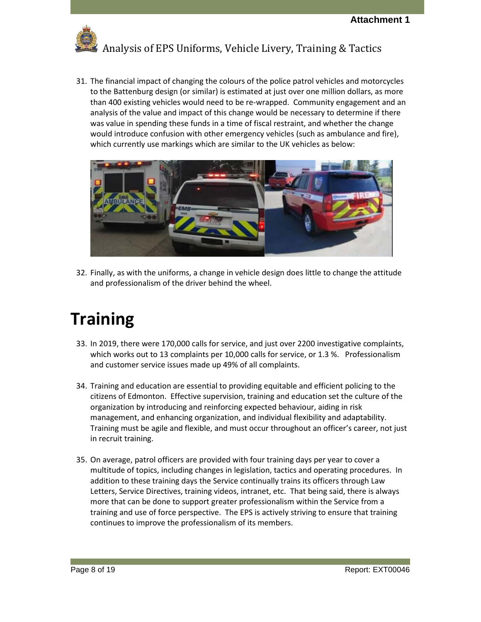

31. The financial impact of changing the colours of the police patrol vehicles and motorcycles to the Battenburg design (or similar) is estimated at just over one million dollars, as more than 400 existing vehicles would need to be re-wrapped. Community engagement and an analysis of the value and impact of this change would be necessary to determine if there was value in spending these funds in a time of fiscal restraint, and whether the change would introduce confusion with other emergency vehicles (such as ambulance and fire), which currently use markings which are similar to the UK vehicles as below:



32. Finally, as with the uniforms, a change in vehicle design does little to change the attitude and professionalism of the driver behind the wheel.

## <span id="page-7-0"></span>**Training**

- 33. In 2019, there were 170,000 calls for service, and just over 2200 investigative complaints, which works out to 13 complaints per 10,000 calls for service, or 1.3 %. Professionalism and customer service issues made up 49% of all complaints.
- 34. Training and education are essential to providing equitable and efficient policing to the citizens of Edmonton. Effective supervision, training and education set the culture of the organization by introducing and reinforcing expected behaviour, aiding in risk management, and enhancing organization, and individual flexibility and adaptability. Training must be agile and flexible, and must occur throughout an officer's career, not just in recruit training.
- 35. On average, patrol officers are provided with four training days per year to cover a multitude of topics, including changes in legislation, tactics and operating procedures. In addition to these training days the Service continually trains its officers through Law Letters, Service Directives, training videos, intranet, etc. That being said, there is always more that can be done to support greater professionalism within the Service from a training and use of force perspective. The EPS is actively striving to ensure that training continues to improve the professionalism of its members.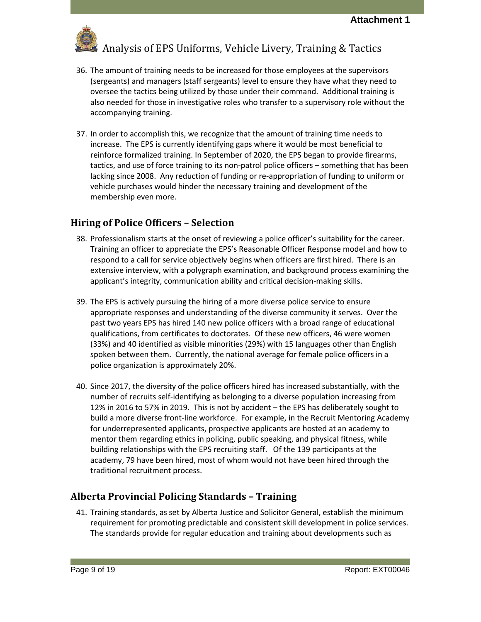

- 36. The amount of training needs to be increased for those employees at the supervisors (sergeants) and managers (staff sergeants) level to ensure they have what they need to oversee the tactics being utilized by those under their command. Additional training is also needed for those in investigative roles who transfer to a supervisory role without the accompanying training.
- 37. In order to accomplish this, we recognize that the amount of training time needs to increase. The EPS is currently identifying gaps where it would be most beneficial to reinforce formalized training. In September of 2020, the EPS began to provide firearms, tactics, and use of force training to its non-patrol police officers – something that has been lacking since 2008. Any reduction of funding or re-appropriation of funding to uniform or vehicle purchases would hinder the necessary training and development of the membership even more.

### <span id="page-8-0"></span>**Hiring of Police Officers – Selection**

- 38. Professionalism starts at the onset of reviewing a police officer's suitability for the career. Training an officer to appreciate the EPS's Reasonable Officer Response model and how to respond to a call for service objectively begins when officers are first hired. There is an extensive interview, with a polygraph examination, and background process examining the applicant's integrity, communication ability and critical decision-making skills.
- 39. The EPS is actively pursuing the hiring of a more diverse police service to ensure appropriate responses and understanding of the diverse community it serves. Over the past two years EPS has hired 140 new police officers with a broad range of educational qualifications, from certificates to doctorates. Of these new officers, 46 were women (33%) and 40 identified as visible minorities (29%) with 15 languages other than English spoken between them. Currently, the national average for female police officers in a police organization is approximately 20%.
- 40. Since 2017, the diversity of the police officers hired has increased substantially, with the number of recruits self-identifying as belonging to a diverse population increasing from 12% in 2016 to 57% in 2019. This is not by accident – the EPS has deliberately sought to build a more diverse front-line workforce. For example, in the Recruit Mentoring Academy for underrepresented applicants, prospective applicants are hosted at an academy to mentor them regarding ethics in policing, public speaking, and physical fitness, while building relationships with the EPS recruiting staff. Of the 139 participants at the academy, 79 have been hired, most of whom would not have been hired through the traditional recruitment process.

### <span id="page-8-1"></span>**Alberta Provincial Policing Standards – Training**

41. Training standards, as set by Alberta Justice and Solicitor General, establish the minimum requirement for promoting predictable and consistent skill development in police services. The standards provide for regular education and training about developments such as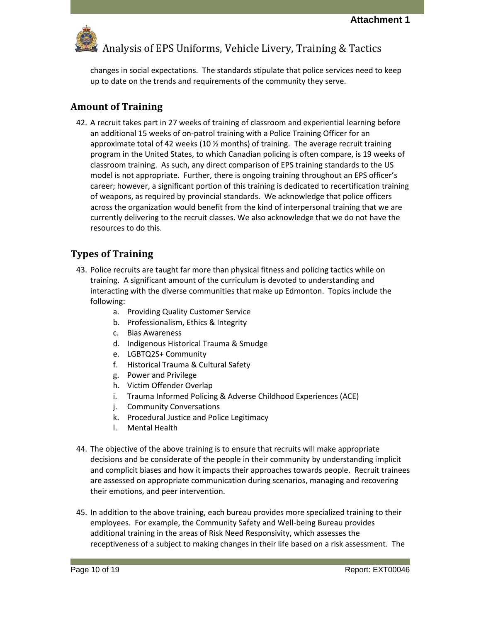

changes in social expectations. The standards stipulate that police services need to keep up to date on the trends and requirements of the community they serve.

### <span id="page-9-0"></span>**Amount of Training**

42. A recruit takes part in 27 weeks of training of classroom and experiential learning before an additional 15 weeks of on-patrol training with a Police Training Officer for an approximate total of 42 weeks (10  $\frac{1}{2}$  months) of training. The average recruit training program in the United States, to which Canadian policing is often compare, is 19 weeks of classroom training. As such, any direct comparison of EPS training standards to the US model is not appropriate. Further, there is ongoing training throughout an EPS officer's career; however, a significant portion of this training is dedicated to recertification training of weapons, as required by provincial standards. We acknowledge that police officers across the organization would benefit from the kind of interpersonal training that we are currently delivering to the recruit classes. We also acknowledge that we do not have the resources to do this.

### <span id="page-9-1"></span>**Types of Training**

- 43. Police recruits are taught far more than physical fitness and policing tactics while on training. A significant amount of the curriculum is devoted to understanding and interacting with the diverse communities that make up Edmonton. Topics include the following:
	- a. Providing Quality Customer Service
	- b. Professionalism, Ethics & Integrity
	- c. Bias Awareness
	- d. Indigenous Historical Trauma & Smudge
	- e. LGBTQ2S+ Community
	- f. Historical Trauma & Cultural Safety
	- g. Power and Privilege
	- h. Victim Offender Overlap
	- i. Trauma Informed Policing & Adverse Childhood Experiences (ACE)
	- j. Community Conversations
	- k. Procedural Justice and Police Legitimacy
	- l. Mental Health
- 44. The objective of the above training is to ensure that recruits will make appropriate decisions and be considerate of the people in their community by understanding implicit and complicit biases and how it impacts their approaches towards people. Recruit trainees are assessed on appropriate communication during scenarios, managing and recovering their emotions, and peer intervention.
- 45. In addition to the above training, each bureau provides more specialized training to their employees. For example, the Community Safety and Well-being Bureau provides additional training in the areas of Risk Need Responsivity, which assesses the receptiveness of a subject to making changes in their life based on a risk assessment. The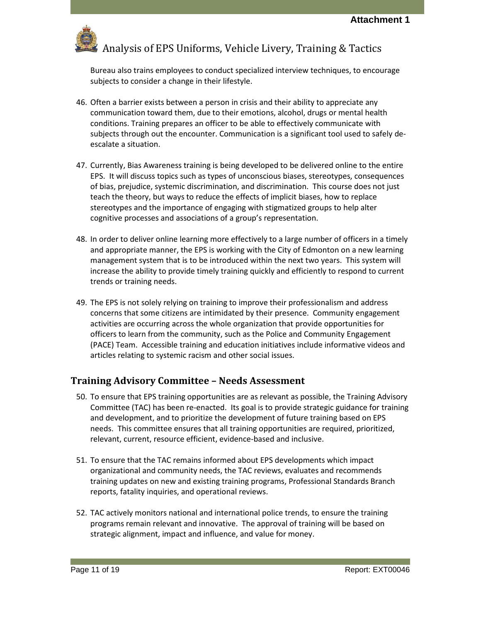

Bureau also trains employees to conduct specialized interview techniques, to encourage subjects to consider a change in their lifestyle.

- 46. Often a barrier exists between a person in crisis and their ability to appreciate any communication toward them, due to their emotions, alcohol, drugs or mental health conditions. Training prepares an officer to be able to effectively communicate with subjects through out the encounter. Communication is a significant tool used to safely deescalate a situation.
- 47. Currently, Bias Awareness training is being developed to be delivered online to the entire EPS. It will discuss topics such as types of unconscious biases, stereotypes, consequences of bias, prejudice, systemic discrimination, and discrimination. This course does not just teach the theory, but ways to reduce the effects of implicit biases, how to replace stereotypes and the importance of engaging with stigmatized groups to help alter cognitive processes and associations of a group's representation.
- 48. In order to deliver online learning more effectively to a large number of officers in a timely and appropriate manner, the EPS is working with the City of Edmonton on a new learning management system that is to be introduced within the next two years. This system will increase the ability to provide timely training quickly and efficiently to respond to current trends or training needs.
- 49. The EPS is not solely relying on training to improve their professionalism and address concerns that some citizens are intimidated by their presence. Community engagement activities are occurring across the whole organization that provide opportunities for officers to learn from the community, such as the Police and Community Engagement (PACE) Team. Accessible training and education initiatives include informative videos and articles relating to systemic racism and other social issues.

#### <span id="page-10-0"></span>**Training Advisory Committee – Needs Assessment**

- 50. To ensure that EPS training opportunities are as relevant as possible, the Training Advisory Committee (TAC) has been re-enacted. Its goal is to provide strategic guidance for training and development, and to prioritize the development of future training based on EPS needs. This committee ensures that all training opportunities are required, prioritized, relevant, current, resource efficient, evidence-based and inclusive.
- 51. To ensure that the TAC remains informed about EPS developments which impact organizational and community needs, the TAC reviews, evaluates and recommends training updates on new and existing training programs, Professional Standards Branch reports, fatality inquiries, and operational reviews.
- 52. TAC actively monitors national and international police trends, to ensure the training programs remain relevant and innovative. The approval of training will be based on strategic alignment, impact and influence, and value for money.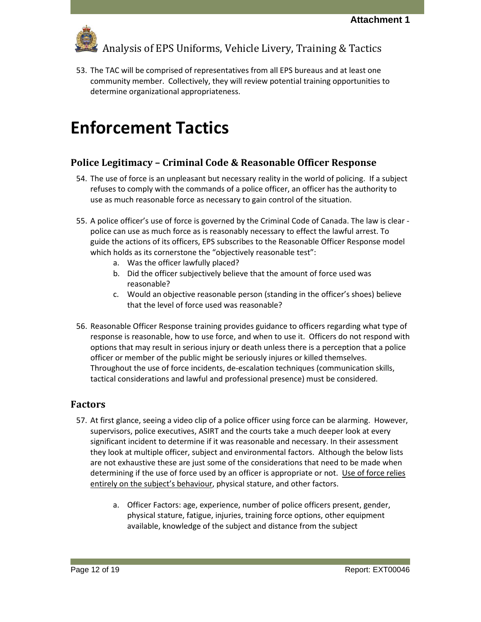

53. The TAC will be comprised of representatives from all EPS bureaus and at least one community member. Collectively, they will review potential training opportunities to determine organizational appropriateness.

### <span id="page-11-0"></span>**Enforcement Tactics**

### <span id="page-11-1"></span>**Police Legitimacy – Criminal Code & Reasonable Officer Response**

- 54. The use of force is an unpleasant but necessary reality in the world of policing. If a subject refuses to comply with the commands of a police officer, an officer has the authority to use as much reasonable force as necessary to gain control of the situation.
- 55. A police officer's use of force is governed by the Criminal Code of Canada. The law is clear police can use as much force as is reasonably necessary to effect the lawful arrest. To guide the actions of its officers, EPS subscribes to the Reasonable Officer Response model which holds as its cornerstone the "objectively reasonable test":
	- a. Was the officer lawfully placed?
	- b. Did the officer subjectively believe that the amount of force used was reasonable?
	- c. Would an objective reasonable person (standing in the officer's shoes) believe that the level of force used was reasonable?
- 56. Reasonable Officer Response training provides guidance to officers regarding what type of response is reasonable, how to use force, and when to use it. Officers do not respond with options that may result in serious injury or death unless there is a perception that a police officer or member of the public might be seriously injures or killed themselves. Throughout the use of force incidents, de-escalation techniques (communication skills, tactical considerations and lawful and professional presence) must be considered.

### <span id="page-11-2"></span>**Factors**

- 57. At first glance, seeing a video clip of a police officer using force can be alarming. However, supervisors, police executives, ASIRT and the courts take a much deeper look at every significant incident to determine if it was reasonable and necessary. In their assessment they look at multiple officer, subject and environmental factors. Although the below lists are not exhaustive these are just some of the considerations that need to be made when determining if the use of force used by an officer is appropriate or not. Use of force relies entirely on the subject's behaviour, physical stature, and other factors.
	- a. Officer Factors: age, experience, number of police officers present, gender, physical stature, fatigue, injuries, training force options, other equipment available, knowledge of the subject and distance from the subject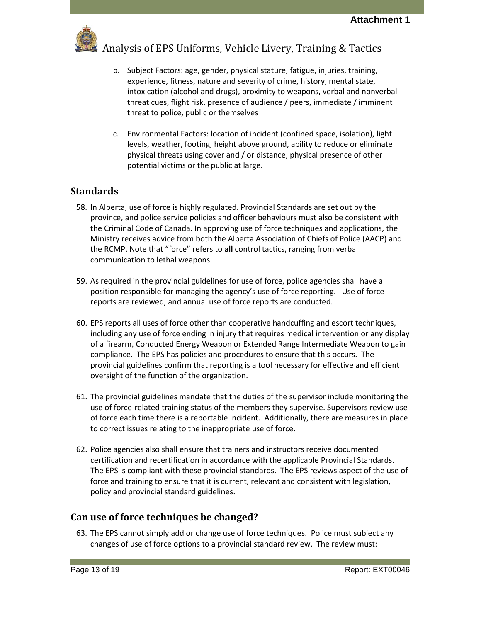

- b. Subject Factors: age, gender, physical stature, fatigue, injuries, training, experience, fitness, nature and severity of crime, history, mental state, intoxication (alcohol and drugs), proximity to weapons, verbal and nonverbal threat cues, flight risk, presence of audience / peers, immediate / imminent threat to police, public or themselves
- c. Environmental Factors: location of incident (confined space, isolation), light levels, weather, footing, height above ground, ability to reduce or eliminate physical threats using cover and / or distance, physical presence of other potential victims or the public at large.

### <span id="page-12-0"></span>**Standards**

- 58. In Alberta, use of force is highly regulated. Provincial Standards are set out by the province, and police service policies and officer behaviours must also be consistent with the Criminal Code of Canada. In approving use of force techniques and applications, the Ministry receives advice from both the Alberta Association of Chiefs of Police (AACP) and the RCMP. Note that "force" refers to **all** control tactics, ranging from verbal communication to lethal weapons.
- 59. As required in the provincial guidelines for use of force, police agencies shall have a position responsible for managing the agency's use of force reporting. Use of force reports are reviewed, and annual use of force reports are conducted.
- 60. EPS reports all uses of force other than cooperative handcuffing and escort techniques, including any use of force ending in injury that requires medical intervention or any display of a firearm, Conducted Energy Weapon or Extended Range Intermediate Weapon to gain compliance. The EPS has policies and procedures to ensure that this occurs. The provincial guidelines confirm that reporting is a tool necessary for effective and efficient oversight of the function of the organization.
- 61. The provincial guidelines mandate that the duties of the supervisor include monitoring the use of force-related training status of the members they supervise. Supervisors review use of force each time there is a reportable incident. Additionally, there are measures in place to correct issues relating to the inappropriate use of force.
- 62. Police agencies also shall ensure that trainers and instructors receive documented certification and recertification in accordance with the applicable Provincial Standards. The EPS is compliant with these provincial standards. The EPS reviews aspect of the use of force and training to ensure that it is current, relevant and consistent with legislation, policy and provincial standard guidelines.

#### <span id="page-12-1"></span>**Can use of force techniques be changed?**

63. The EPS cannot simply add or change use of force techniques. Police must subject any changes of use of force options to a provincial standard review. The review must: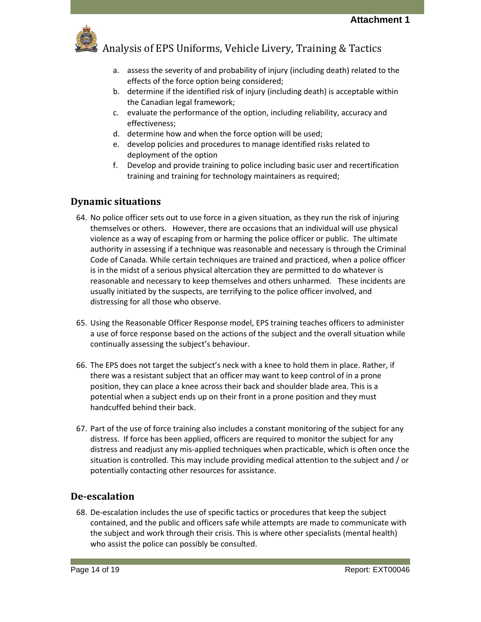

- a. assess the severity of and probability of injury (including death) related to the effects of the force option being considered;
- b. determine if the identified risk of injury (including death) is acceptable within the Canadian legal framework;
- c. evaluate the performance of the option, including reliability, accuracy and effectiveness;
- d. determine how and when the force option will be used;
- e. develop policies and procedures to manage identified risks related to deployment of the option
- f. Develop and provide training to police including basic user and recertification training and training for technology maintainers as required;

### <span id="page-13-0"></span>**Dynamic situations**

- 64. No police officer sets out to use force in a given situation, as they run the risk of injuring themselves or others. However, there are occasions that an individual will use physical violence as a way of escaping from or harming the police officer or public. The ultimate authority in assessing if a technique was reasonable and necessary is through the Criminal Code of Canada. While certain techniques are trained and practiced, when a police officer is in the midst of a serious physical altercation they are permitted to do whatever is reasonable and necessary to keep themselves and others unharmed. These incidents are usually initiated by the suspects, are terrifying to the police officer involved, and distressing for all those who observe.
- 65. Using the Reasonable Officer Response model, EPS training teaches officers to administer a use of force response based on the actions of the subject and the overall situation while continually assessing the subject's behaviour.
- 66. The EPS does not target the subject's neck with a knee to hold them in place. Rather, if there was a resistant subject that an officer may want to keep control of in a prone position, they can place a knee across their back and shoulder blade area. This is a potential when a subject ends up on their front in a prone position and they must handcuffed behind their back.
- 67. Part of the use of force training also includes a constant monitoring of the subject for any distress. If force has been applied, officers are required to monitor the subject for any distress and readjust any mis-applied techniques when practicable, which is often once the situation is controlled. This may include providing medical attention to the subject and / or potentially contacting other resources for assistance.

#### <span id="page-13-1"></span>**De-escalation**

68. De-escalation includes the use of specific tactics or procedures that keep the subject contained, and the public and officers safe while attempts are made to communicate with the subject and work through their crisis. This is where other specialists (mental health) who assist the police can possibly be consulted.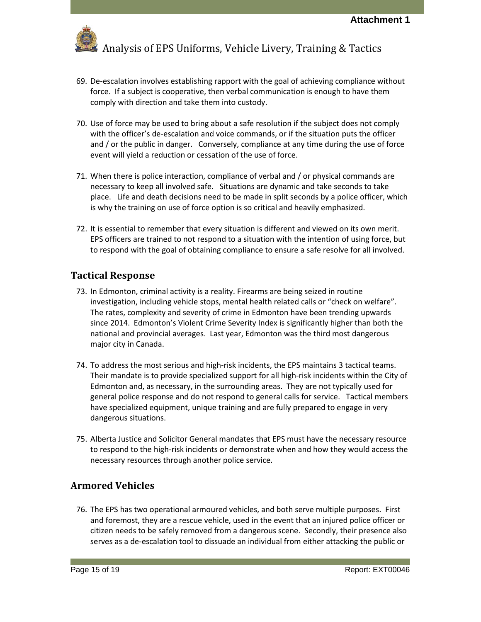

- 69. De-escalation involves establishing rapport with the goal of achieving compliance without force. If a subject is cooperative, then verbal communication is enough to have them comply with direction and take them into custody.
- 70. Use of force may be used to bring about a safe resolution if the subject does not comply with the officer's de-escalation and voice commands, or if the situation puts the officer and / or the public in danger. Conversely, compliance at any time during the use of force event will yield a reduction or cessation of the use of force.
- 71. When there is police interaction, compliance of verbal and / or physical commands are necessary to keep all involved safe. Situations are dynamic and take seconds to take place. Life and death decisions need to be made in split seconds by a police officer, which is why the training on use of force option is so critical and heavily emphasized.
- 72. It is essential to remember that every situation is different and viewed on its own merit. EPS officers are trained to not respond to a situation with the intention of using force, but to respond with the goal of obtaining compliance to ensure a safe resolve for all involved.

### <span id="page-14-0"></span>**Tactical Response**

- 73. In Edmonton, criminal activity is a reality. Firearms are being seized in routine investigation, including vehicle stops, mental health related calls or "check on welfare". The rates, complexity and severity of crime in Edmonton have been trending upwards since 2014. Edmonton's Violent Crime Severity Index is significantly higher than both the national and provincial averages. Last year, Edmonton was the third most dangerous major city in Canada.
- 74. To address the most serious and high-risk incidents, the EPS maintains 3 tactical teams. Their mandate is to provide specialized support for all high-risk incidents within the City of Edmonton and, as necessary, in the surrounding areas. They are not typically used for general police response and do not respond to general calls for service. Tactical members have specialized equipment, unique training and are fully prepared to engage in very dangerous situations.
- 75. Alberta Justice and Solicitor General mandates that EPS must have the necessary resource to respond to the high-risk incidents or demonstrate when and how they would access the necessary resources through another police service.

#### <span id="page-14-1"></span>**Armored Vehicles**

76. The EPS has two operational armoured vehicles, and both serve multiple purposes. First and foremost, they are a rescue vehicle, used in the event that an injured police officer or citizen needs to be safely removed from a dangerous scene. Secondly, their presence also serves as a de-escalation tool to dissuade an individual from either attacking the public or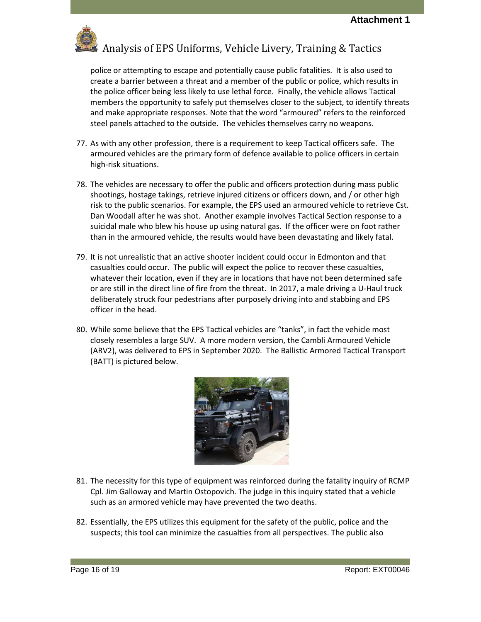

police or attempting to escape and potentially cause public fatalities. It is also used to create a barrier between a threat and a member of the public or police, which results in the police officer being less likely to use lethal force. Finally, the vehicle allows Tactical members the opportunity to safely put themselves closer to the subject, to identify threats and make appropriate responses. Note that the word "armoured" refers to the reinforced steel panels attached to the outside. The vehicles themselves carry no weapons.

- 77. As with any other profession, there is a requirement to keep Tactical officers safe. The armoured vehicles are the primary form of defence available to police officers in certain high-risk situations.
- 78. The vehicles are necessary to offer the public and officers protection during mass public shootings, hostage takings, retrieve injured citizens or officers down, and / or other high risk to the public scenarios. For example, the EPS used an armoured vehicle to retrieve Cst. Dan Woodall after he was shot. Another example involves Tactical Section response to a suicidal male who blew his house up using natural gas. If the officer were on foot rather than in the armoured vehicle, the results would have been devastating and likely fatal.
- 79. It is not unrealistic that an active shooter incident could occur in Edmonton and that casualties could occur. The public will expect the police to recover these casualties, whatever their location, even if they are in locations that have not been determined safe or are still in the direct line of fire from the threat. In 2017, a male driving a U-Haul truck deliberately struck four pedestrians after purposely driving into and stabbing and EPS officer in the head.
- 80. While some believe that the EPS Tactical vehicles are "tanks", in fact the vehicle most closely resembles a large SUV. A more modern version, the Cambli Armoured Vehicle (ARV2), was delivered to EPS in September 2020. The Ballistic Armored Tactical Transport (BATT) is pictured below.



- 81. The necessity for this type of equipment was reinforced during the fatality inquiry of RCMP Cpl. Jim Galloway and Martin Ostopovich. The judge in this inquiry stated that a vehicle such as an armored vehicle may have prevented the two deaths.
- 82. Essentially, the EPS utilizes this equipment for the safety of the public, police and the suspects; this tool can minimize the casualties from all perspectives. The public also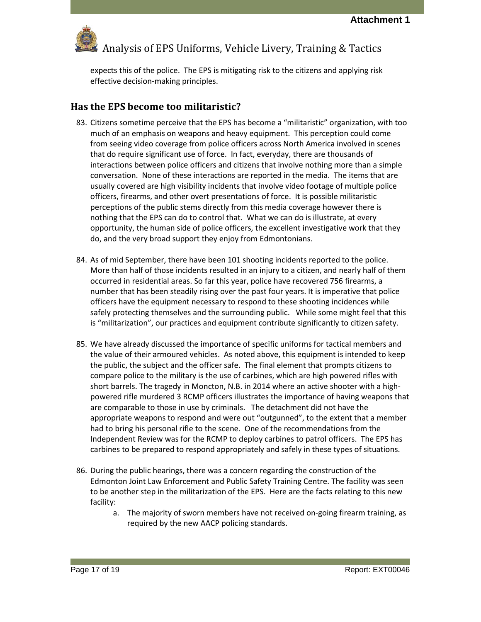

expects this of the police. The EPS is mitigating risk to the citizens and applying risk effective decision-making principles.

#### <span id="page-16-0"></span>**Has the EPS become too militaristic?**

- 83. Citizens sometime perceive that the EPS has become a "militaristic" organization, with too much of an emphasis on weapons and heavy equipment. This perception could come from seeing video coverage from police officers across North America involved in scenes that do require significant use of force. In fact, everyday, there are thousands of interactions between police officers and citizens that involve nothing more than a simple conversation. None of these interactions are reported in the media. The items that are usually covered are high visibility incidents that involve video footage of multiple police officers, firearms, and other overt presentations of force. It is possible militaristic perceptions of the public stems directly from this media coverage however there is nothing that the EPS can do to control that. What we can do is illustrate, at every opportunity, the human side of police officers, the excellent investigative work that they do, and the very broad support they enjoy from Edmontonians.
- 84. As of mid September, there have been 101 shooting incidents reported to the police. More than half of those incidents resulted in an injury to a citizen, and nearly half of them occurred in residential areas. So far this year, police have recovered 756 firearms, a number that has been steadily rising over the past four years. It is imperative that police officers have the equipment necessary to respond to these shooting incidences while safely protecting themselves and the surrounding public. While some might feel that this is "militarization", our practices and equipment contribute significantly to citizen safety.
- 85. We have already discussed the importance of specific uniforms for tactical members and the value of their armoured vehicles. As noted above, this equipment is intended to keep the public, the subject and the officer safe. The final element that prompts citizens to compare police to the military is the use of carbines, which are high powered rifles with short barrels. The tragedy in Moncton, N.B. in 2014 where an active shooter with a highpowered rifle murdered 3 RCMP officers illustrates the importance of having weapons that are comparable to those in use by criminals. The detachment did not have the appropriate weapons to respond and were out "outgunned", to the extent that a member had to bring his personal rifle to the scene. One of the recommendations from the Independent Review was for the RCMP to deploy carbines to patrol officers. The EPS has carbines to be prepared to respond appropriately and safely in these types of situations.
- 86. During the public hearings, there was a concern regarding the construction of the Edmonton Joint Law Enforcement and Public Safety Training Centre. The facility was seen to be another step in the militarization of the EPS. Here are the facts relating to this new facility:
	- a. The majority of sworn members have not received on-going firearm training, as required by the new AACP policing standards.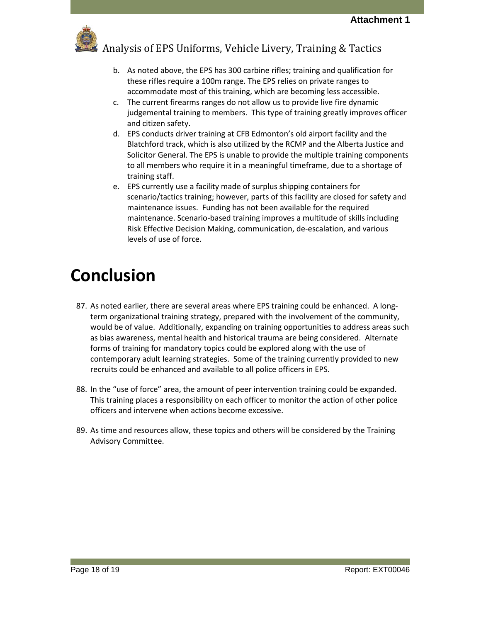

- b. As noted above, the EPS has 300 carbine rifles; training and qualification for these rifles require a 100m range. The EPS relies on private ranges to accommodate most of this training, which are becoming less accessible.
- c. The current firearms ranges do not allow us to provide live fire dynamic judgemental training to members. This type of training greatly improves officer and citizen safety.
- d. EPS conducts driver training at CFB Edmonton's old airport facility and the Blatchford track, which is also utilized by the RCMP and the Alberta Justice and Solicitor General. The EPS is unable to provide the multiple training components to all members who require it in a meaningful timeframe, due to a shortage of training staff.
- e. EPS currently use a facility made of surplus shipping containers for scenario/tactics training; however, parts of this facility are closed for safety and maintenance issues. Funding has not been available for the required maintenance. Scenario-based training improves a multitude of skills including Risk Effective Decision Making, communication, de-escalation, and various levels of use of force.

### <span id="page-17-0"></span>**Conclusion**

- 87. As noted earlier, there are several areas where EPS training could be enhanced. A longterm organizational training strategy, prepared with the involvement of the community, would be of value. Additionally, expanding on training opportunities to address areas such as bias awareness, mental health and historical trauma are being considered. Alternate forms of training for mandatory topics could be explored along with the use of contemporary adult learning strategies. Some of the training currently provided to new recruits could be enhanced and available to all police officers in EPS.
- 88. In the "use of force" area, the amount of peer intervention training could be expanded. This training places a responsibility on each officer to monitor the action of other police officers and intervene when actions become excessive.
- 89. As time and resources allow, these topics and others will be considered by the Training Advisory Committee.